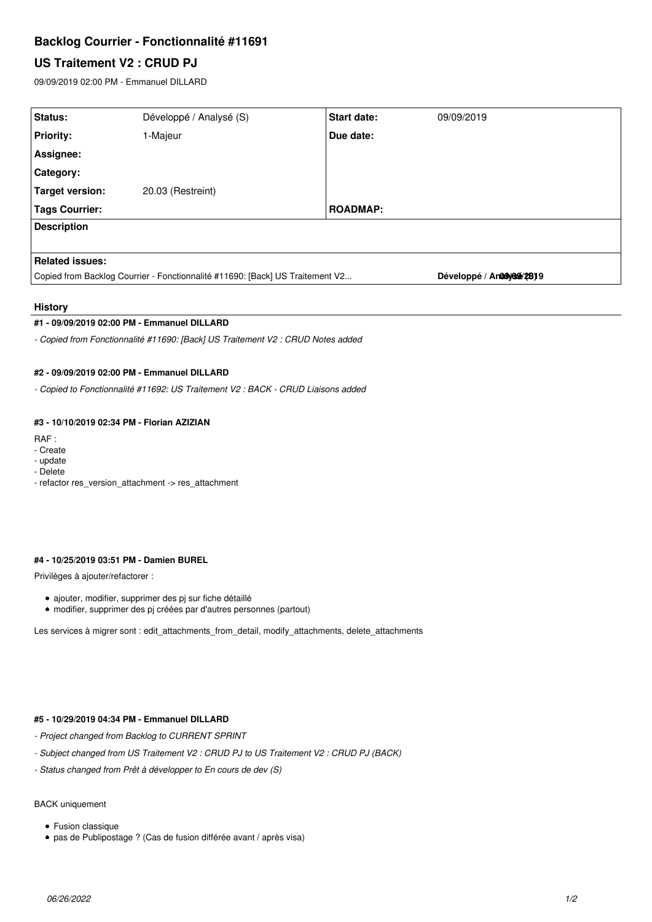# **Backlog Courrier - Fonctionnalité #11691**

# **US Traitement V2 : CRUD PJ**

09/09/2019 02:00 PM - Emmanuel DILLARD

| Status:                                                                       | Développé / Analysé (S) | <b>Start date:</b> | 09/09/2019                |
|-------------------------------------------------------------------------------|-------------------------|--------------------|---------------------------|
| <b>Priority:</b>                                                              | I-Majeur                | Due date:          |                           |
| Assignee:                                                                     |                         |                    |                           |
| <b>Category:</b>                                                              |                         |                    |                           |
| Target version:                                                               | 20.03 (Restreint)       |                    |                           |
| <b>Tags Courrier:</b>                                                         |                         | <b>ROADMAP:</b>    |                           |
| <b>Description</b>                                                            |                         |                    |                           |
|                                                                               |                         |                    |                           |
| <b>Related issues:</b>                                                        |                         |                    |                           |
| Copied from Backlog Courrier - Fonctionnalité #11690: [Back] US Traitement V2 |                         |                    | Développé / Analyone/2819 |
|                                                                               |                         |                    |                           |

## **History**

#### **#1 - 09/09/2019 02:00 PM - Emmanuel DILLARD**

*- Copied from Fonctionnalité #11690: [Back] US Traitement V2 : CRUD Notes added*

#### **#2 - 09/09/2019 02:00 PM - Emmanuel DILLARD**

*- Copied to Fonctionnalité #11692: US Traitement V2 : BACK - CRUD Liaisons added*

## **#3 - 10/10/2019 02:34 PM - Florian AZIZIAN**

- RAF :
- Create
- update
- Delete
- refactor res\_version\_attachment -> res\_attachment

### **#4 - 10/25/2019 03:51 PM - Damien BUREL**

Privilèges à ajouter/refactorer :

- ajouter, modifier, supprimer des pj sur fiche détaillé
- modifier, supprimer des pj créées par d'autres personnes (partout)

Les services à migrer sont : edit\_attachments\_from\_detail, modify\_attachments, delete\_attachments

## **#5 - 10/29/2019 04:34 PM - Emmanuel DILLARD**

- *Project changed from Backlog to CURRENT SPRINT*
- *Subject changed from US Traitement V2 : CRUD PJ to US Traitement V2 : CRUD PJ (BACK)*
- *Status changed from Prêt à développer to En cours de dev (S)*

# BACK uniquement

- Fusion classique
- pas de Publipostage ? (Cas de fusion différée avant / après visa)